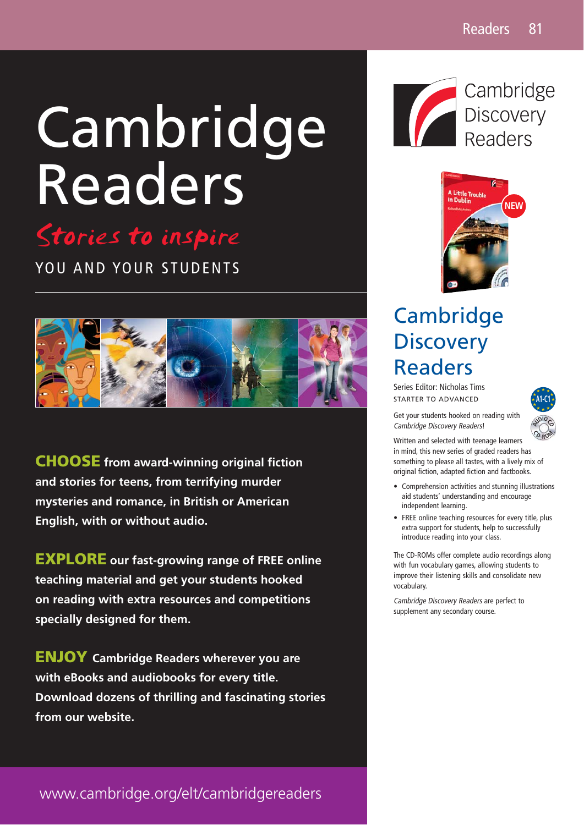# Cambridge Readers



3TORIESTOINSPIRE YOU AND YOUR STUDENTS



**CHOOSE from award-winning original fiction and stories for teens, from terrifying murder mysteries and romance, in British or American English, with or without audio.** 

**EXPLORE our fast-growing range of FREE online teaching material and get your students hooked on reading with extra resources and competitions specially designed for them.**

**ENJOY Cambridge Readers wherever you are with eBooks and audiobooks for every title. Download dozens of thrilling and fascinating stories from our website.** 



Cambridge Discovery Readers



## **Cambridge Discovery** Readers

Series Editor: Nicholas Tims STARTER TO ADVANCED



Get your students hooked on reading with Cambridge Discovery Readers!

Written and selected with teenage learners in mind, this new series of graded readers has something to please all tastes, with a lively mix of original fiction, adapted fiction and factbooks. **<sup>C</sup> <sup>D</sup>-R<sup>O</sup> <sup>M</sup>**

- Comprehension activities and stunning illustrations aid students' understanding and encourage independent learning.
- FREE online teaching resources for every title, plus extra support for students, help to successfully introduce reading into your class.

The CD-ROMs offer complete audio recordings along with fun vocabulary games, allowing students to improve their listening skills and consolidate new vocabulary.

Cambridge Discovery Readers are perfect to supplement any secondary course.

www.cambridge.org/elt/cambridgereaders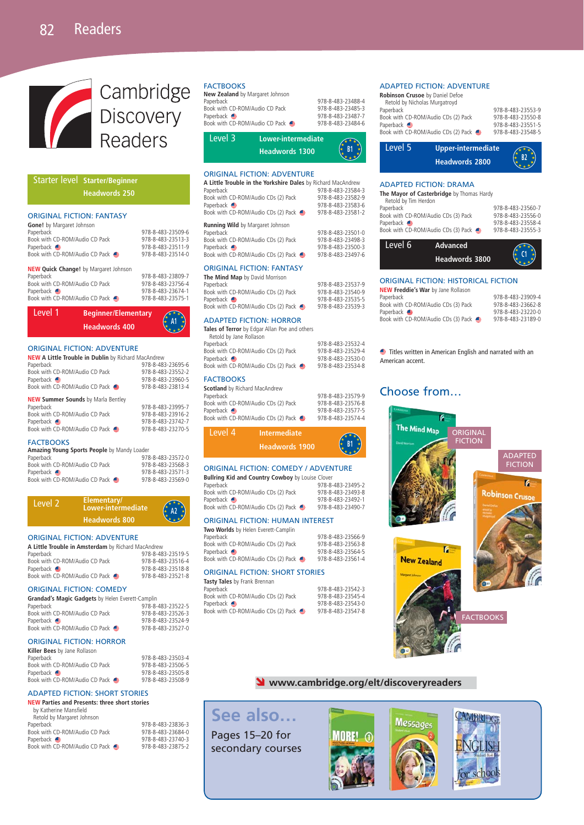

#### Starter level **Starter/Beginner Headwords 250**

#### ORIGINAL FICTION: FANTASY

| <b>URIGINAL FILTIUN: FANTASY</b>             |                   |
|----------------------------------------------|-------------------|
| Gone! by Margaret Johnson                    |                   |
| Paperback                                    | 978-8-483-23509-6 |
| Book with CD-ROM/Audio CD Pack               | 978-8-483-23513-3 |
| Paperback e                                  | 978-8-483-23511-9 |
| Book with CD-ROM/Audio CD Pack ●             | 978-8-483-23514-0 |
| <b>NEW Quick Change!</b> by Margaret Johnson |                   |
| Paperback                                    | 978-8-483-23809-7 |
| Book with CD-ROM/Audio CD Pack               | 978-8-483-23756-4 |
| Paperback e                                  | 978-8-483-23674-1 |
| Book with CD-ROM/Audio CD Pack               | 978-8-483-23575-1 |
|                                              |                   |



#### ORIGINAL FICTION: ADVENTURE

| <b>NEW A Little Trouble in Dublin by Richard MacAndrew</b> |                   |
|------------------------------------------------------------|-------------------|
| Paperback                                                  | 978-8-483-23695-6 |
| Book with CD-ROM/Audio CD Pack                             | 978-8-483-23552-2 |
| Paperback $\triangleq$                                     | 978-8-483-23960-5 |
| Book with CD-ROM/Audio CD Pack ●                           | 978-8-483-23813-4 |
| <b>NEW Summer Sounds</b> by Marla Bentley                  |                   |
| Paperback                                                  | 978-8-483-23995-7 |
| Book with CD-ROM/Audio CD Pack                             | 978-8-483-23916-2 |
| Paperback e                                                | 978-8-483-23742-7 |
|                                                            |                   |
| Book with CD-ROM/Audio CD Pack                             | 978-8-483-23270-5 |

#### **FACTBOOKS**

| Amazing Young Sports People by Mandy Loader |  |  |  |  |
|---------------------------------------------|--|--|--|--|
|---------------------------------------------|--|--|--|--|

| Paperback                      | 978-8-483-23572-0 |
|--------------------------------|-------------------|
| Book with CD-ROM/Audio CD Pack | 978-8-483-23568-3 |
| Paperback $\triangle$          | 978-8-483-23571-3 |
| Book with CD-ROM/Audio CD Pack | 978-8-483-23569-0 |



#### ORIGINAL FICTION: ADVENTURE

| A Little Trouble in Amsterdam by Richard MacAndrew |                   |  |  |
|----------------------------------------------------|-------------------|--|--|
| Paperback                                          | 978-8-483-23519-5 |  |  |
| Book with CD-ROM/Audio CD Pack                     | 978-8-483-23516-4 |  |  |
| Paperback $\bigoplus$                              | 978-8-483-23518-8 |  |  |
| Book with CD-ROM/Audio CD Pack                     | 978-8-483-23521-8 |  |  |

#### ORIGINAL FICTION: COMEDY

| Grandad's Magic Gadgets by Helen Everett-Camplin |                   |  |  |
|--------------------------------------------------|-------------------|--|--|
| Paperback                                        | 978-8-483-23522-5 |  |  |
| Book with CD-ROM/Audio CD Pack                   | 978-8-483-23526-3 |  |  |
| Paperback $\triangleq$                           | 978-8-483-23524-9 |  |  |
| Book with CD-ROM/Audio CD Pack ●                 | 978-8-483-23527-0 |  |  |

Paperback 978-8-483-23503-4 Book with CD-ROM/Audio CD Pack 978-8-483-23506-5 Paperback 978-8-483-23505-8 Book with CD-ROM/Audio CD Pack 978-8-483-23508-9

#### ORIGINAL FICTION: HORROR

| Killer Bees by Jane Rollason     |
|----------------------------------|
| Paperback                        |
| Book with CD-ROM/Audio CD Pack   |
| Paperback $\bigoplus$            |
| Book with CD-ROM/Audio CD Pack ● |

#### ADAPTED FICTION: SHORT STORIES

**NEW Parties and Presents: three short stories** by Katherine Mansfield Retold by Margaret Johnson

| Paperback                      | 978-8-483-23836-3 |
|--------------------------------|-------------------|
| Book with CD-ROM/Audio CD Pack | 978-8-483-23684-0 |
| Paperback <b>⊜</b>             | 978-8-483-23740-3 |
| Book with CD-ROM/Audio CD Pack | 978-8-483-23875-2 |
|                                |                   |

#### **FACTROOKS**

| Level 3                         | Lower-intermediate |                   |
|---------------------------------|--------------------|-------------------|
| Book with CD-ROM/Audio CD Pack  |                    | 978-8-483-23484-6 |
| Paperback e                     |                    | 978-8-483-23487-7 |
| Book with CD-ROM/Audio CD Pack  |                    | 978-8-483-23485-3 |
| Paperback                       |                    | 978-8-483-23488-4 |
| New Zealand by Margaret Johnson |                    |                   |
| ,,,,,,,,,,,                     |                    |                   |

| ----- | ------------------    | ╱* * *∖                         |
|-------|-----------------------|---------------------------------|
|       | <b>Headwords 1300</b> | $\mathbb{R}$ R1 $\star$<br>きょょか |
|       |                       |                                 |

#### ORIGINAL FICTION: ADVENTURE

| 978-8-483-23584-3<br>978-8-483-23582-9<br>978-8-483-23583-6 |
|-------------------------------------------------------------|
|                                                             |
|                                                             |
|                                                             |
| 978-8-483-23581-2                                           |
|                                                             |
| 978-8-483-23501-0                                           |
| 978-8-483-23498-3                                           |
| 978-8-483-23500-3                                           |
| 978-8-483-23497-6                                           |
|                                                             |
|                                                             |
| 978-8-483-23537-9                                           |
|                                                             |

| $\cdots$ $\cdots$ $\cdots$ $\cdots$   |                   |
|---------------------------------------|-------------------|
| aperback                              | 978-8-483-23537-9 |
| Book with CD-ROM/Audio CDs (2) Pack   | 978-8-483-23540-9 |
| Paperback <b>⊜</b>                    | 978-8-483-23535-5 |
| Book with CD-ROM/Audio CDs (2) Pack ● | 978-8-483-23539-3 |
|                                       |                   |

#### ADAPTED FICTION: HORROR

**Tales of Terror** by Edgar Allan Poe and others Retold by Jane Rollason<br>Paperback 978-8-483-23532-4<br>978-8-483-23529-4 Book with CD-ROM/Audio CDs (2) Pack<br>Panerback  $\bigoplus$ 978-8-483-23530-0<br>978-8-483-23534-8 Book with CD-ROM/Audio CDs (2) Pack  $\oplus$ 

#### **FACTBOOKS**

| <b>Scotland</b> by Richard MacAndrew |                                     |                   |
|--------------------------------------|-------------------------------------|-------------------|
| Paperback                            |                                     | 978-8-483-23579-9 |
|                                      | Book with CD-ROM/Audio CDs (2) Pack | 978-8-483-23576-8 |
| Paperback <b><del></del></b>         |                                     | 978-8-483-23577-5 |
|                                      | Book with CD-ROM/Audio CDs (2) Pack | 978-8-483-23574-4 |
| Level 4                              | Intermediate                        |                   |

| LCVCI 9 | шеннесиасе            |                                          |
|---------|-----------------------|------------------------------------------|
|         | <b>Headwords 1900</b> | $\left(\frac{1}{x} + \frac{1}{x}\right)$ |

#### ORIGINAL FICTION: COMEDY / ADVENTURE

| <b>Bullring Kid and Country Cowboy</b> by Louise Clover |                   |
|---------------------------------------------------------|-------------------|
| Paperback                                               | 978-8-483-23495-2 |
| Book with CD-ROM/Audio CDs (2) Pack                     | 978-8-483-23493-8 |
| Paperback e                                             | 978-8-483-23492-1 |
| Book with CD-ROM/Audio CDs (2) Pack                     | 978-8-483-23490-7 |
|                                                         |                   |

#### ORIGINAL FICTION: HUMAN INTEREST

#### **Two Worlds** by Helen Everett-Camplin

| 978-8-483-23566-9 |
|-------------------|
| 978-8-483-23563-8 |
| 978-8-483-23564-5 |
| 978-8-483-23561-4 |
|                   |

#### ORIGINAL FICTION: SHORT STORIES

| Tasty Tales by Frank Brennan        |                   |
|-------------------------------------|-------------------|
| Paperback                           | 978-8-483-23542-3 |
| Book with CD-ROM/Audio CDs (2) Pack | 978-8-483-23545-4 |
| Paperback <b>S</b>                  | 978-8-483-23543-0 |
| Book with CD-ROM/Audio CDs (2) Pack | 978-8-483-23547-8 |

#### ADAPTED FICTION: ADVENTURE

| Robinson Crusoe by Daniel Defoe<br>Retold by Nicholas Murgatroyd |                   |
|------------------------------------------------------------------|-------------------|
| Paperback                                                        | 978-8-483-23553-9 |
| Book with CD-ROM/Audio CDs (2) Pack                              | 978-8-483-23550-8 |
| Paperback <b>●</b>                                               | 978-8-483-23551-5 |
| Book with CD-ROM/Audio CDs (2) Pack                              | 978-8-483-23548-5 |



#### ADAPTED FICTION: DRAMA

| The Mayor of Casterbridge by Thomas Hardy<br>Retold by Tim Herdon |                                   |  |  |  |
|-------------------------------------------------------------------|-----------------------------------|--|--|--|
| Paperback                                                         | 978-8-483-23560-7                 |  |  |  |
| Book with CD-ROM/Audio CDs (3) Pack                               | 978-8-483-23556-0                 |  |  |  |
| Paperback e                                                       | 978-8-483-23558-4                 |  |  |  |
| Book with CD-ROM/Audio CDs (3) Pack                               | 978-8-483-23555-3                 |  |  |  |
| Level 6                                                           | Advanced<br><b>Headwords 3800</b> |  |  |  |
|                                                                   |                                   |  |  |  |

#### ORIGINAL FICTION: HISTORICAL FICTION

| <b>NEW Freddie's War</b> by Jane Rollason |
|-------------------------------------------|
| Paperback                                 |
| Book with CD-ROM/Audio CDs (3) Pack       |
| Paperback <b>e</b>                        |
| Book with CD-ROM/Audio CDs (3) Pack       |

Paperback 978-8-483-23909-4 Book with CD-ROM/Audio CDs (3) Pack 978-8-483-23662-8 Paperback 978-8-483-23220-0 Book with CD-ROM/Audio CDs (3) Pack 978-8-483-23189-0

Titles written in American English and narrated with an American accent.

### Choose from…



#### Ó **www.cambridge.org/elt/discoveryreaders**

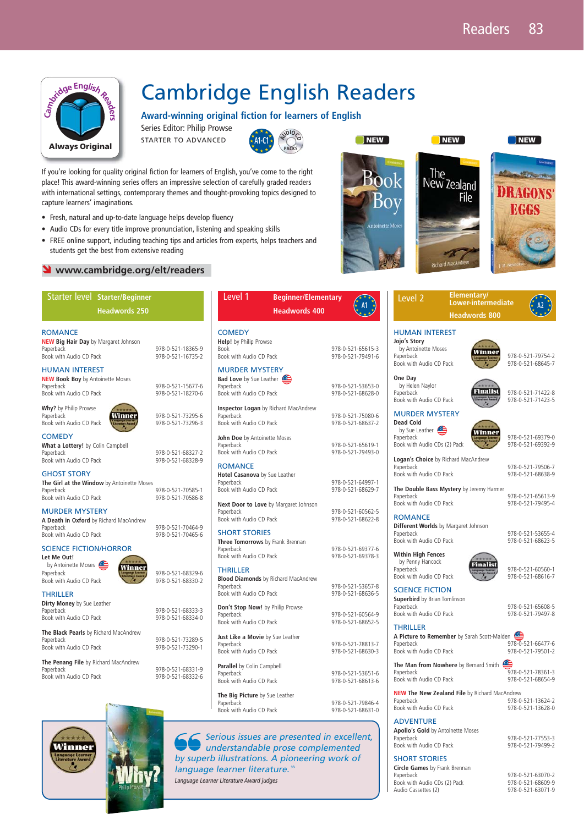

## Cambridge English Readers

**Award-winning original fiction for learners of English** 

Series Editor: Philip Prowse STARTER TO ADVANCED



If you're looking for quality original fiction for learners of English, you've come to the right place! This award-winning series offers an impressive selection of carefully graded readers with international settings, contemporary themes and thought-provoking topics designed to capture learners' imaginations.

- Fresh, natural and up-to-date language helps develop fluency
- Audio CDs for every title improve pronunciation, listening and speaking skills
- FREE online support, including teaching tips and articles from experts, helps teachers and students get the best from extensive reading

#### **S** www.cambridge.org/elt/readers

| Starter level Starter/Beginner                                                                           |                                        | Level 1<br><b>Beginner/Elementary</b>                                                                 |                                        | Level <sub>2</sub>                                                                             | Elementary/<br>Lower-intermediate                    |                                                                 |
|----------------------------------------------------------------------------------------------------------|----------------------------------------|-------------------------------------------------------------------------------------------------------|----------------------------------------|------------------------------------------------------------------------------------------------|------------------------------------------------------|-----------------------------------------------------------------|
| <b>Headwords 250</b>                                                                                     |                                        | <b>Headwords 400</b>                                                                                  | A1                                     |                                                                                                | <b>Headwords 800</b>                                 | $\stackrel{\star}{\mathstrut}_{\mathstrut\sim}^{\mathstrut}$ A2 |
| <b>ROMANCE</b><br><b>NEW Big Hair Day</b> by Margaret Johnson<br>Paperback<br>Book with Audio CD Pack    | 978-0-521-18365-9<br>978-0-521-16735-2 | <b>COMEDY</b><br>Help! by Philip Prowse<br>Book<br>Book with Audio CD Pack                            | 978-0-521-65615-3<br>978-0-521-79491-6 | <b>HUMAN INTEREST</b><br>Jojo's Story<br>by Antoinette Moses<br>Paperback                      | Winner                                               | 978-0-521-797<br>978-0-521-686                                  |
| <b>HUMAN INTEREST</b><br><b>NEW Book Boy</b> by Antoinette Moses<br>Paperback<br>Book with Audio CD Pack | 978-0-521-15677-6<br>978-0-521-18270-6 | <b>MURDER MYSTERY</b><br><b>Bad Love</b> by Sue Leather<br>Paperback<br>Book with Audio CD Pack       | 978-0-521-53653-0<br>978-0-521-68628-0 | Book with Audio CD Pack<br>One Day<br>by Helen Naylor<br>Paperback<br>Book with Audio CD Pack  | Finalist                                             | 978-0-521-714<br>978-0-521-714                                  |
| Why? by Philip Prowse<br>Winner<br>Paperback<br>Book with Audio CD Pack                                  | 978-0-521-73295-6<br>978-0-521-73296-3 | <b>Inspector Logan by Richard MacAndrew</b><br>Paperback<br>Book with Audio CD Pack                   | 978-0-521-75080-6<br>978-0-521-68637-2 | <b>MURDER MYSTERY</b><br><b>Dead Cold</b><br>by Sue Leather                                    | Winner                                               |                                                                 |
| <b>COMEDY</b><br>What a Lottery! by Colin Campbell<br>Paperback<br>Book with Audio CD Pack               | 978-0-521-68327-2<br>978-0-521-68328-9 | John Doe by Antoinette Moses<br>Paperback<br>Book with Audio CD Pack<br><b>ROMANCE</b>                | 978-0-521-65619-1<br>978-0-521-79493-0 | Paperback<br>Book with Audio CDs (2) Pack<br>Logan's Choice by Richard MacAndrew<br>Paperback  |                                                      | 978-0-521-693<br>978-0-521-693<br>978-0-521-795                 |
| <b>GHOST STORY</b><br>The Girl at the Window by Antoinette Moses<br>Paperback<br>Book with Audio CD Pack | 978-0-521-70585-1<br>978-0-521-70586-8 | Hotel Casanova by Sue Leather<br>Paperback<br>Book with Audio CD Pack                                 | 978-0-521-64997-1<br>978-0-521-68629-7 | Book with Audio CD Pack<br>Paperback                                                           | The Double Bass Mystery by Jeremy Harmer             | 978-0-521-686<br>978-0-521-656                                  |
| <b>MURDER MYSTERY</b><br>A Death in Oxford by Richard MacAndrew<br>Paperback                             | 978-0-521-70464-9                      | Next Door to Love by Margaret Johnson<br>Paperback<br>Book with Audio CD Pack<br><b>SHORT STORIES</b> | 978-0-521-60562-5<br>978-0-521-68622-8 | Book with Audio CD Pack<br><b>ROMANCE</b><br>Different Worlds by Margaret Johnson<br>Paperback |                                                      | 978-0-521-794<br>978-0-521-536                                  |
| Book with Audio CD Pack<br><b>SCIENCE FICTION/HORROR</b><br>Let Me Out!<br>by Antoinette Moses<br>Winner | 978-0-521-70465-6                      | Three Tomorrows by Frank Brennan<br>Paperback<br>Book with Audio CD Pack                              | 978-0-521-69377-6<br>978-0-521-69378-3 | Book with Audio CD Pack<br><b>Within High Fences</b><br>by Penny Hancock                       | <b>Finalist</b>                                      | 978-0-521-686                                                   |
| Paperback<br>Book with Audio CD Pack<br><b>THRILLER</b>                                                  | 978-0-521-68329-6<br>978-0-521-68330-2 | <b>THRILLER</b><br><b>Blood Diamonds</b> by Richard MacAndrew<br>Paperback<br>Book with Audio CD Pack | 978-0-521-53657-8<br>978-0-521-68636-5 | Paperback<br>Book with Audio CD Pack<br><b>SCIENCE FICTION</b>                                 |                                                      | 978-0-521-605<br>978-0-521-686                                  |
| Dirty Money by Sue Leather<br>Paperback<br>Book with Audio CD Pack                                       | 978-0-521-68333-3<br>978-0-521-68334-0 | Don't Stop Now! by Philip Prowse<br>Paperback<br>Book with Audio CD Pack                              | 978-0-521-60564-9<br>978-0-521-68652-5 | <b>Superbird</b> by Brian Tomlinson<br>Paperback<br>Book with Audio CD Pack<br><b>THRILLER</b> |                                                      | 978-0-521-656<br>978-0-521-794                                  |
| The Black Pearls by Richard MacAndrew<br>Paperback<br>Book with Audio CD Pack                            | 978-0-521-73289-5<br>978-0-521-73290-1 | Just Like a Movie by Sue Leather<br>Paperback<br>Book with Audio CD Pack                              | 978-0-521-78813-7<br>978-0-521-68630-3 | Paperback<br>Book with Audio CD Pack                                                           | A Picture to Remember by Sarah Scott-Malden          | ₾<br>978-0-521-664<br>978-0-521-795                             |
| The Penang File by Richard MacAndrew<br>Paperback<br>Book with Audio CD Pack                             | 978-0-521-68331-9<br>978-0-521-68332-6 | Parallel by Colin Campbell<br>Paperback<br>Book with Audio CD Pack                                    | 978-0-521-53651-6<br>978-0-521-68613-6 | Paperback<br>Book with Audio CD Pack                                                           | The Man from Nowhere by Bernard Smith                | 978-0-521-783<br>978-0-521-686                                  |
| $15 - 1$                                                                                                 |                                        | The Big Picture by Sue Leather<br>Paperback<br>Book with Audio CD Pack                                | 978-0-521-79846-4<br>978-0-521-68631-0 | Paperback<br>Book with Audio CD Pack                                                           | <b>NEW The New Zealand File by Richard MacAndrew</b> | 978-0-521-136<br>978-0-521-136                                  |
|                                                                                                          |                                        |                                                                                                       |                                        | <b>ADVENTURE</b><br>Anollo's Gold by Antoinette Moses                                          |                                                      |                                                                 |

Serious issues are presented in excellent, understandable prose complemented by superb illustrations. A pioneering work of language learner literature. Language Learner Literature Award judges

| I NEW I                                       | <b>NEW</b>                 | <b>NEW</b>                             |  |
|-----------------------------------------------|----------------------------|----------------------------------------|--|
| <b>Book</b><br>Boy<br><b>Antoinette Moses</b> | The<br>New Zealand<br>File | Count<br><b>DRAGONS</b><br><b>EGGS</b> |  |
|                                               | <b>Richard MacAndrew</b>   |                                        |  |

| Level 2                               | <b>Eleme</b><br>Lower |
|---------------------------------------|-----------------------|
|                                       | <b>Headv</b>          |
| <b>HUMAN INTEREST</b><br>Jojo's Story |                       |



978-0-521-68645-7

**Pack Pack** 978-0-521-71422-8 978-0-521-71423-5

 $\frac{1}{2}$ <br>(2) Pack  $\frac{1}{2}$ <br>(2) Pack  $\frac{1}{2}$ <br>(978-0-521-69392-9 978-0-521-69392-9

**Richard MacAndrew** 978-0-521-79506-7<br>978-0-521-68638-9 978-0-521-68638-9

978-0-521-68638-9

**Tystery** by Jeremy Harmer 978-0-521-65613-9<br>978-0-521-79495-4 978 978-0-521-79495-4

**Different Worlds** by Margaret Johnson 978-0-521-53655-4<br>978-0-521-68623-5<br>978-0-521-68623-5

Pack 978-0-521-60560-1 978-0-521-68616-7

978-0-521-68623-5

978-0-521-65608-5<br>978-0-521-79497-8 978-0-521-79497-8

**A Picture to Remember** by Sarah Scott-Malden 978-0-521-66477-6<br>2-978-0-521-79501-2 978-0-521-79501-2

Pack 978-0-521-78361-3<br>978-0-521-78361-3<br>978-0-521-68654-9 Book with Audio CD Pack 978-0-521-68654-9

**Nand File** by Richard MacAndrew 978-0-521-13624-2 Pack 978-0-521-13628-0

**Apollo's Gold** by Antoinette Moses Book with Audio CD Pack

SHORT STORIES **Circle Games** by Frank Brennan

Paper Book<br>Book with Audio CDs (2) Pack<br>Audio Cassettes (2)

978-0-521-77553-3<br>978-0-521-79499-2

978-0-521-63070-2 Audio Cassettes (2) 978-0-521-63071-9